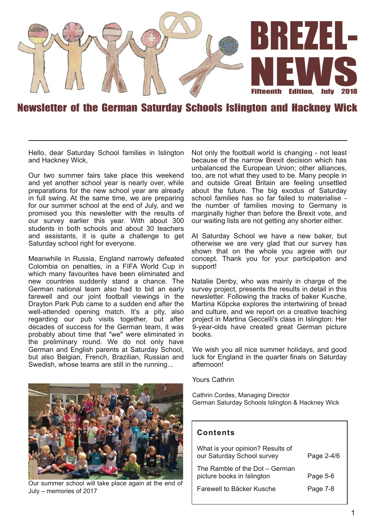

## Newsletter of the German Saturday Schools Islington and Hackney Wick

Hello, dear Saturday School families in Islington and Hackney Wick,

Our two summer fairs take place this weekend and yet another school year is nearly over, while preparations for the new school year are already in full swing. At the same time, we are preparing for our summer school at the end of July, and we promised you this newsletter with the results of our survey earlier this year. With about 300 students in both schools and about 30 teachers and assistants, it is quite a challenge to get Saturday school right for everyone.

Meanwhile in Russia, England narrowly defeated Colombia on penalties, in a FIFA World Cup in which many favourites have been eliminated and new countries suddenly stand a chance. The German national team also had to bid an early farewell and our joint football viewings in the Drayton Park Pub came to a sudden end after the well-attended opening match. It's a pity, also regarding our pub visits together, but after decades of success for the German team, it was probably about time that "we" were eliminated in the preliminary round. We do not only have German and English parents at Saturday School, but also Belgian, French, Brazilian, Russian and Swedish, whose teams are still in the running...



Our summer school will take place again at the end of July – memories of 2017

Not only the football world is changing - not least because of the narrow Brexit decision which has unbalanced the European Union; other alliances, too, are not what they used to be. Many people in and outside Great Britain are feeling unsettled about the future. The big exodus of Saturday school families has so far failed to materialise the number of families moving to Germany is marginally higher than before the Brexit vote, and our waiting lists are not getting any shorter either.

At Saturday School we have a new baker, but otherwise we are very glad that our survey has shown that on the whole you agree with our concept. Thank you for your participation and support!

Natalie Denby, who was mainly in charge of the survey project, presents the results in detail in this newsletter. Following the tracks of baker Kusche, Martina Köpcke explores the intertwining of bread and culture, and we report on a creative teaching project in Martina Geccelli's class in Islington: Her 9-year-olds have created great German picture books.

We wish you all nice summer holidays, and good luck for England in the quarter finals on Saturday afternoon!

Yours Cathrin

Cathrin Cordes, Managing Director German Saturday Schools Islington & Hackney Wick

### **Con ten ts**

| What is your opinion? Results of<br>our Saturday School survey | Page 2-4/6 |
|----------------------------------------------------------------|------------|
| The Ramble of the Dot – German<br>picture books in Islington   | Page 5-6   |
| Farewell to Bäcker Kusche                                      | Page 7-8   |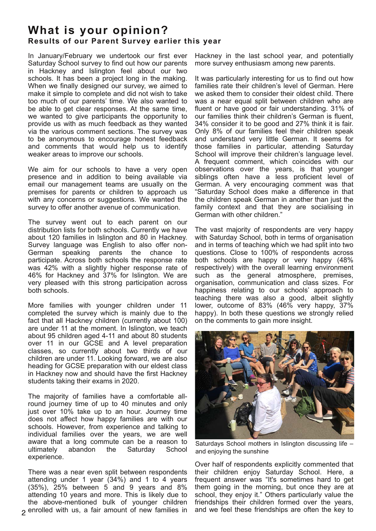## **What is your opinion? Results of our Parent Survey earlier this year**

In January/February we undertook our first ever Saturday School survey to find out how our parents in Hackney and Islington feel about our two schools. It has been a project long in the making. When we finally designed our survey, we aimed to make it simple to complete and did not wish to take too much of our parents' time. We also wanted to be able to get clear responses. At the same time, we wanted to give participants the opportunity to provide us with as much feedback as they wanted via the various comment sections. The survey was to be anonymous to encourage honest feedback and comments that would help us to identify weaker areas to improve our schools.

We aim for our schools to have a very open presence and in addition to being available via email our management teams are usually on the premises for parents or children to approach us with any concerns or suggestions. We wanted the survey to offer another avenue of communication.

The survey went out to each parent on our distribution lists for both schools. Currently we have about 120 families in Islington and 80 in Hackney. Survey language was English to also offer non-German speaking parents the chance to participate. Across both schools the response rate was 42% with a slightly higher response rate of 46% for Hackney and 37% for Islington. We are very pleased with this strong participation across both schools.

More families with younger children under 11 completed the survey which is mainly due to the fact that all Hackney children (currently about 100) are under 11 at the moment. In Islington, we teach about 95 children aged 4-11 and about 80 students over 11 in our GCSE and A level preparation classes, so currently about two thirds of our children are under 11. Looking forward, we are also heading for GCSE preparation with our eldest class in Hackney now and should have the first Hackney students taking their exams in 2020.

The majority of families have a comfortable allround journey time of up to 40 minutes and only just over 10% take up to an hour. Journey time does not affect how happy families are with our schools. However, from experience and talking to individual families over the years, we are well aware that a long commute can be a reason to ultimately abandon the Saturday School experience.

There was a near even split between respondents attending under 1 year (34%) and 1 to 4 years (35%), 25% between 5 and 9 years and 8% attending 10 years and more. This is likely due to the above-mentioned bulk of younger children enrolled with us, a fair amount of new families in

Hackney in the last school year, and potentially more survey enthusiasm among new parents.

It was particularly interesting for us to find out how families rate their children's level of German. Here we asked them to consider their oldest child. There was a near equal split between children who are fluent or have good or fair understanding. 31% of our families think their children's German is fluent, 34% consider it to be good and 27% think it is fair. Only 8% of our families feel their children speak and understand very little German. It seems for those families in particular, attending Saturday School will improve their children's language level. A frequent comment, which coincides with our observations over the years, is that younger siblings often have a less proficient level of German. A very encouraging comment was that "Saturday School does make a difference in that the children speak German in another than just the family context and that they are socialising in German with other children."

The vast majority of respondents are very happy with Saturday School, both in terms of organisation and in terms of teaching which we had split into two questions. Close to 100% of respondents across both schools are happy or very happy (48% respectively) with the overall learning environment such as the general atmosphere, premises, organisation, communication and class sizes. For happiness relating to our schools' approach to teaching there was also a good, albeit slightly lower, outcome of 83% (46% very happy, 37% happy). In both these questions we strongly relied on the comments to gain more insight.



Saturdays School mothers in Islington discussing life – and enjoying the sunshine

Over half of respondents explicitly commented that their children enjoy Saturday School. Here, a frequent answer was "It's sometimes hard to get them going in the morning, but once they are at school, they enjoy it." Others particularly value the friendships their children formed over the years, and we feel these friendships are often the key to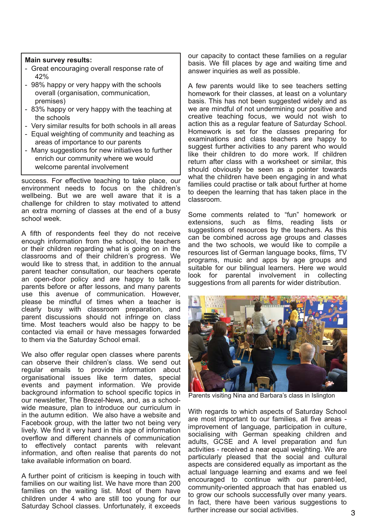#### **Main survey results:**

- Great encouraging overall response rate of 42%
- 98% happy or very happy with the schools overall (organisation, communication, premises)
- 83% happy or very happy with the teaching at the schools
- Very similar results for both schools in all areas
- Equal weighting of community and teaching as areas of importance to our parents
- Many suggestions for new initiatives to further enrich our community where we would welcome parental involvement

success. For effective teaching to take place, our environment needs to focus on the children's wellbeing. But we are well aware that it is a challenge for children to stay motivated to attend an extra morning of classes at the end of a busy school week.

A fifth of respondents feel they do not receive enough information from the school, the teachers or their children regarding what is going on in the classrooms and of their children's progress. We would like to stress that, in addition to the annual parent teacher consultation, our teachers operate an open-door policy and are happy to talk to parents before or after lessons, and many parents use this avenue of communication. However, please be mindful of times when a teacher is clearly busy with classroom preparation, and parent discussions should not infringe on class time. Most teachers would also be happy to be contacted via email or have messages forwarded to them via the Saturday School email.

We also offer regular open classes where parents can observe their children's class. We send out regular emails to provide information about organisational issues like term dates, special events and payment information. We provide background information to school specific topics in our newsletter, The Brezel-News, and, as a schoolwide measure, plan to introduce our curriculum in in the autumn edition. We also have a website and Facebook group, with the latter two not being very lively. We find it very hard in this age of information overflow and different channels of communication to effectively contact parents with relevant information, and often realise that parents do not take available information on board.

A further point of criticism is keeping in touch with families on our waiting list. We have more than 200 families on the waiting list. Most of them have children under 4 who are still too young for our Saturday School classes. Unfortunately, it exceeds our capacity to contact these families on a regular basis. We fill places by age and waiting time and answer inquiries as well as possible.

A few parents would like to see teachers setting homework for their classes, at least on a voluntary basis. This has not been suggested widely and as we are mindful of not undermining our positive and creative teaching focus, we would not wish to action this as a regular feature of Saturday School. Homework is set for the classes preparing for examinations and class teachers are happy to suggest further activities to any parent who would like their children to do more work. If children return after class with a worksheet or similar, this should obviously be seen as a pointer towards what the children have been engaging in and what families could practise or talk about further at home to deepen the learning that has taken place in the classroom.

Some comments related to "fun" homework or extensions, such as films, reading lists or suggestions of resources by the teachers. As this can be combined across age groups and classes and the two schools, we would like to compile a resources list of German language books, films, TV programs, music and apps by age groups and suitable for our bilingual learners. Here we would look for parental involvement in collecting suggestions from all parents for wider distribution.



Parents visiting Nina and Barbara's class in Islington

With regards to which aspects of Saturday School are most important to our families, all five areas improvement of language, participation in culture, socialising with German speaking children and adults, GCSE and A level preparation and fun activities - received a near equal weighting. We are particularly pleased that the social and cultural aspects are considered equally as important as the actual language learning and exams and we feel encouraged to continue with our parent-led, community-oriented approach that has enabled us to grow our schools successfully over many years. In fact, there have been various suggestions to further increase our social activities.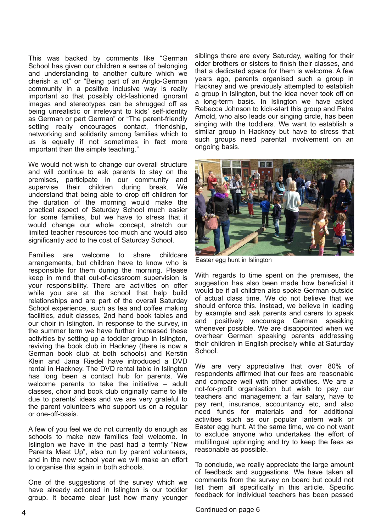This was backed by comments like "German School has given our children a sense of belonging and understanding to another culture which we cherish a lot" or "Being part of an Anglo-German community in a positive inclusive way is really important so that possibly old-fashioned ignorant images and stereotypes can be shrugged off as being unrealistic or irrelevant to kids' self-identity as German or part German" or "The parent-friendly setting really encourages contact, friendship, networking and solidarity among families which to us is equally if not sometimes in fact more important than the simple teaching."

We would not wish to change our overall structure and will continue to ask parents to stay on the premises, participate in our community and supervise their children during break. We understand that being able to drop off children for the duration of the morning would make the practical aspect of Saturday School much easier for some families, but we have to stress that it would change our whole concept, stretch our limited teacher resources too much and would also significantly add to the cost of Saturday School.

Families are welcome to share childcare arrangements, but children have to know who is responsible for them during the morning. Please keep in mind that out-of-classroom supervision is your responsibility. There are activities on offer while you are at the school that help build relationships and are part of the overall Saturday School experience, such as tea and coffee making facilities, adult classes, 2nd hand book tables and our choir in Islington. In response to the survey, in the summer term we have further increased these activities by setting up a toddler group in Islington, reviving the book club in Hackney (there is now a German book club at both schools) and Kerstin Klein and Jana Riedel have introduced a DVD rental in Hackney. The DVD rental table in Islington has long been a contact hub for parents. We welcome parents to take the initiative – adult classes, choir and book club originally came to life due to parents' ideas and we are very grateful to the parent volunteers who support us on a regular or one-off-basis.

A few of you feel we do not currently do enough as schools to make new families feel welcome. In Islington we have in the past had a termly "New Parents Meet Up", also run by parent volunteers, and in the new school year we will make an effort to organise this again in both schools.

One of the suggestions of the survey which we have already actioned in Islington is our toddler group. It became clear just how many younger siblings there are every Saturday, waiting for their older brothers or sisters to finish their classes, and that a dedicated space for them is welcome. A few years ago, parents organised such a group in Hackney and we previously attempted to establish a group in Islington, but the idea never took off on a long-term basis. In Islington we have asked Rebecca Johnson to kick-start this group and Petra Arnold, who also leads our singing circle, has been singing with the toddlers. We want to establish a similar group in Hackney but have to stress that such groups need parental involvement on an ongoing basis.



Easter egg hunt in Islington

With regards to time spent on the premises, the suggestion has also been made how beneficial it would be if all children also spoke German outside of actual class time. We do not believe that we should enforce this. Instead, we believe in leading by example and ask parents and carers to speak and positively encourage German speaking whenever possible. We are disappointed when we overhear German speaking parents addressing their children in English precisely while at Saturday School.

We are very appreciative that over 80% of respondents affirmed that our fees are reasonable and compare well with other activities. We are a not-for-profit organisation but wish to pay our teachers and management a fair salary, have to pay rent, insurance, accountancy etc, and also need funds for materials and for additional activities such as our popular lantern walk or Easter egg hunt. At the same time, we do not want to exclude anyone who undertakes the effort of multilingual upbringing and try to keep the fees as reasonable as possible.

To conclude, we really appreciate the large amount of feedback and suggestions. We have taken all comments from the survey on board but could not list them all specifically in this article. Specific feedback for individual teachers has been passed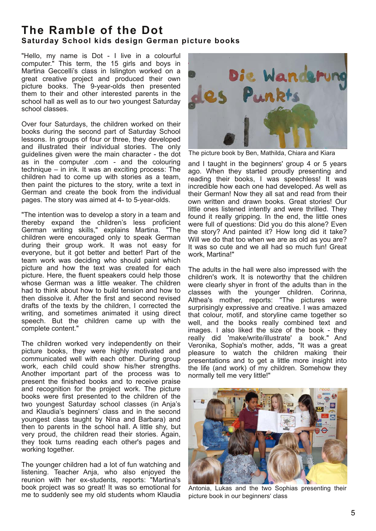## **The Ramble of the Dot Saturday School kids design German picture books**

"Hello, my name is Dot - I live in a colourful computer." This term, the 15 girls and boys in Martina Geccelli's class in Islington worked on a great creative project and produced their own picture books. The 9-year-olds then presented them to their and other interested parents in the school hall as well as to our two youngest Saturday school classes.

Over four Saturdays, the children worked on their books during the second part of Saturday School lessons. In groups of four or three, they developed and illustrated their individual stories. The only guidelines given were the main character - the dot as in the computer .com - and the colouring technique – in ink. It was an exciting process: The children had to come up with stories as a team, then paint the pictures to the story, write a text in German and create the book from the individual pages. The story was aimed at 4- to 5-year-olds.

"The intention was to develop a story in a team and thereby expand the children's less proficient German writing skills," explains Martina. "The children were encouraged only to speak German during their group work. It was not easy for everyone, but it got better and better! Part of the team work was deciding who should paint which picture and how the text was created for each picture. Here, the fluent speakers could help those whose German was a little weaker. The children had to think about how to build tension and how to then dissolve it. After the first and second revised drafts of the texts by the children, I corrected the writing, and sometimes animated it using direct speech. But the children came up with the complete content."

The children worked very independently on their picture books, they were highly motivated and communicated well with each other. During group work, each child could show his/her strengths. Another important part of the process was to present the finished books and to receive praise and recognition for the project work. The picture books were first presented to the children of the two youngest Saturday school classes (in Anja's and Klaudia's beginners' class and in the second youngest class taught by Nina and Barbara) and then to parents in the school hall. A little shy, but very proud, the children read their stories. Again, they took turns reading each other's pages and working together.

The younger children had a lot of fun watching and listening. Teacher Anja, who also enjoyed the reunion with her ex-students, reports: "Martina's book project was so great! It was so emotional for me to suddenly see my old students whom Klaudia



The picture book by Ben, Mathilda, Chiara and Kiara

and I taught in the beginners' group 4 or 5 years ago. When they started proudly presenting and reading their books, I was speechless! It was incredible how each one had developed. As well as their German! Now they all sat and read from their own written and drawn books. Great stories! Our little ones listened intently and were thrilled. They found it really gripping. In the end, the little ones were full of questions: Did you do this alone? Even the story? And painted it? How long did it take? Will we do that too when we are as old as you are? It was so cute and we all had so much fun! Great work, Martina!"

The adults in the hall were also impressed with the children's work. It is noteworthy that the children were clearly shyer in front of the adults than in the classes with the younger children. Corinna, Althea's mother, reports: "The pictures were surprisingly expressive and creative. I was amazed that colour, motif, and storyline came together so well, and the books really combined text and images. I also liked the size of the book - they really did 'make/write/illustrate' a book." And Veronika, Sophia's mother, adds, "It was a great pleasure to watch the children making their presentations and to get a little more insight into the life (and work) of my children. Somehow they normally tell me very little!"



Antonia, Lukas and the two Sophias presenting their picture book in our beginners' class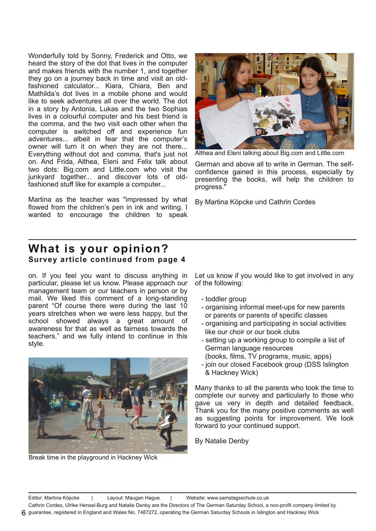Wonderfully told by Sonny, Frederick and Otto, we heard the story of the dot that lives in the computer and makes friends with the number 1, and together they go on a journey back in time and visit an oldfashioned calculator... Kiara, Chiara, Ben and Mathilda's dot lives in a mobile phone and would like to seek adventures all over the world. The dot in a story by Antonia, Lukas and the two Sophias lives in a colourful computer and his best friend is the comma, and the two visit each other when the computer is switched off and experience fun adventures... albeit in fear that the computer's owner will turn it on when they are not there... Everything without dot and comma, that's just not on. And Frida, Althea, Eleni and Felix talk about two dots: Big.com and Little.com who visit the junkyard together... and discover lots of oldfashioned stuff like for example a computer...

Martina as the teacher was "impressed by what flowed from the children's pen in ink and writing. I wanted to encourage the children to speak



Althea and Eleni talking about Big.com and Little.com

German and above all to write in German. The selfconfidence gained in this process, especially by presenting the books, will help the children to progress."

By Martina Köpcke und Cathrin Cordes

## **What is your opinion?** Survey article continued from page 4

on. If you feel you want to discuss anything in particular, please let us know. Please approach our management team or our teachers in person or by mail. We liked this comment of a long-standing parent "Of course there were during the last 10 years stretches when we were less happy, but the school showed always a great amount of awareness for that as well as fairness towards the teachers." and we fully intend to continue in this style.



Break time in the playground in Hackney Wick

Let us know if you would like to get involved in any of the following:

- toddler group
- organising informal meet-ups for new parents or parents or parents of specific classes
- organising and participating in social activities like our choir or our book clubs
- setting up a working group to compile a list of German language resources
- (books, films, TV programs, music, apps)
- join our closed Facebook group (DSS Islington & Hackney Wick)

Many thanks to all the parents who took the time to complete our survey and particularly to those who gave us very in depth and detailed feedback. Thank you for the many positive comments as well as suggesting points for improvement. We look forward to your continued support.

By Natalie Denby

Cathrin Cordes, Ulrike Hensel-Burg and Natalie Denby are the Directors of The German Saturday School, a non-profit company limited by guarantee, registered in England and Wales No. 7487272, operating the German Saturday Schools in Islington and Hackney Wick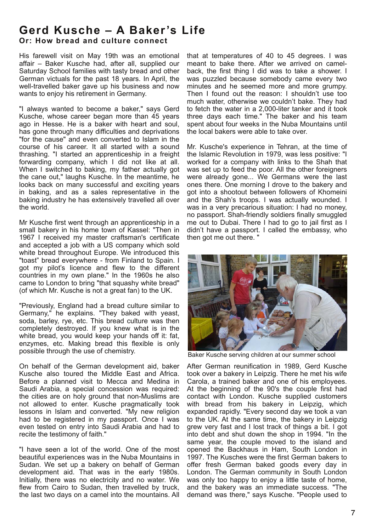# Gerd Kusche - A Baker's Life

**Or: How bread and culture connect** 

His farewell visit on May 19th was an emotional affair – Baker Kusche had, after all, supplied our Saturday School families with tasty bread and other German victuals for the past 18 years. In April, the well-travelled baker gave up his business and now wants to enjoy his retirement in Germany.

"I always wanted to become a baker," says Gerd Kusche, whose career began more than 45 years ago in Hesse. He is a baker with heart and soul, has gone through many difficulties and deprivations "for the cause" and even converted to Islam in the course of his career. It all started with a sound thrashing. "I started an apprenticeship in a freight forwarding company, which I did not like at all. When I switched to baking, my father actually got the cane out," laughs Kusche. In the meantime, he looks back on many successful and exciting years in baking, and as a sales representative in the baking industry he has extensively travelled all over the world.

Mr Kusche first went through an apprenticeship in a small bakery in his home town of Kassel: "Then in 1967 I received my master craftsman's certificate and accepted a job with a US company which sold white bread throughout Europe. We introduced this "toast" bread everywhere - from Finland to Spain. I got my pilot's licence and flew to the different countries in my own plane." In the 1960s he also came to London to bring "that squashy white bread" (of which Mr. Kusche is not a great fan) to the UK.

"Previously, England had a bread culture similar to Germany," he explains. "They baked with yeast, soda, barley, rye, etc. This bread culture was then completely destroyed. If you knew what is in the white bread, you would keep your hands off it: fat, enzymes, etc. Making bread this flexible is only possible through the use of chemistry.

On behalf of the German development aid, baker Kusche also toured the Middle East and Africa. Before a planned visit to Mecca and Medina in Saudi Arabia, a special concession was required: the cities are on holy ground that non-Muslims are not allowed to enter. Kusche pragmatically took lessons in Islam and converted. "My new religion had to be registered in my passport. Once I was even tested on entry into Saudi Arabia and had to recite the testimony of faith."

"I have seen a lot of the world. One of the most beautiful experiences was in the Nuba Mountains in Sudan. We set up a bakery on behalf of German development aid. That was in the early 1980s. Initially, there was no electricity and no water. We flew from Cairo to Sudan, then travelled by truck, the last two days on a camel into the mountains. All

that at temperatures of 40 to 45 degrees. I was meant to bake there. After we arrived on camelback, the first thing I did was to take a shower. I was puzzled because somebody came every two minutes and he seemed more and more grumpy. Then I found out the reason: I shouldn't use too much water, otherwise we couldn't bake. They had to fetch the water in a 2,000-liter tanker and it took three days each time." The baker and his team spent about four weeks in the Nuba Mountains until the local bakers were able to take over.

Mr. Kusche's experience in Tehran, at the time of the Islamic Revolution in 1979, was less positive: "I worked for a company with links to the Shah that was set up to feed the poor. All the other foreigners were already gone... We Germans were the last ones there. One morning I drove to the bakery and got into a shootout between followers of Khomeini and the Shah's troops. I was actually wounded. I was in a very precarious situation: I had no money, no passport. Shah-friendly soldiers finally smuggled me out to Dubai. There I had to go to jail first as I didn't have a passport. I called the embassy, who then got me out there. "



Baker Kusche serving children at our summer school

After German reunification in 1989, Gerd Kusche took over a bakery in Leipzig. There he met his wife Carola, a trained baker and one of his employees. At the beginning of the 90's the couple first had contact with London. Kusche supplied customers with bread from his bakery in Leipzig, which expanded rapidly. "Every second day we took a van to the UK. At the same time, the bakery in Leipzig grew very fast and I lost track of things a bit. I got into debt and shut down the shop in 1994. "In the same year, the couple moved to the island and opened the Backhaus in Ham, South London in 1997. The Kusches were the first German bakers to offer fresh German baked goods every day in London. The German community in South London was only too happy to enjoy a little taste of home, and the bakery was an immediate success. "The demand was there," says Kusche. "People used to